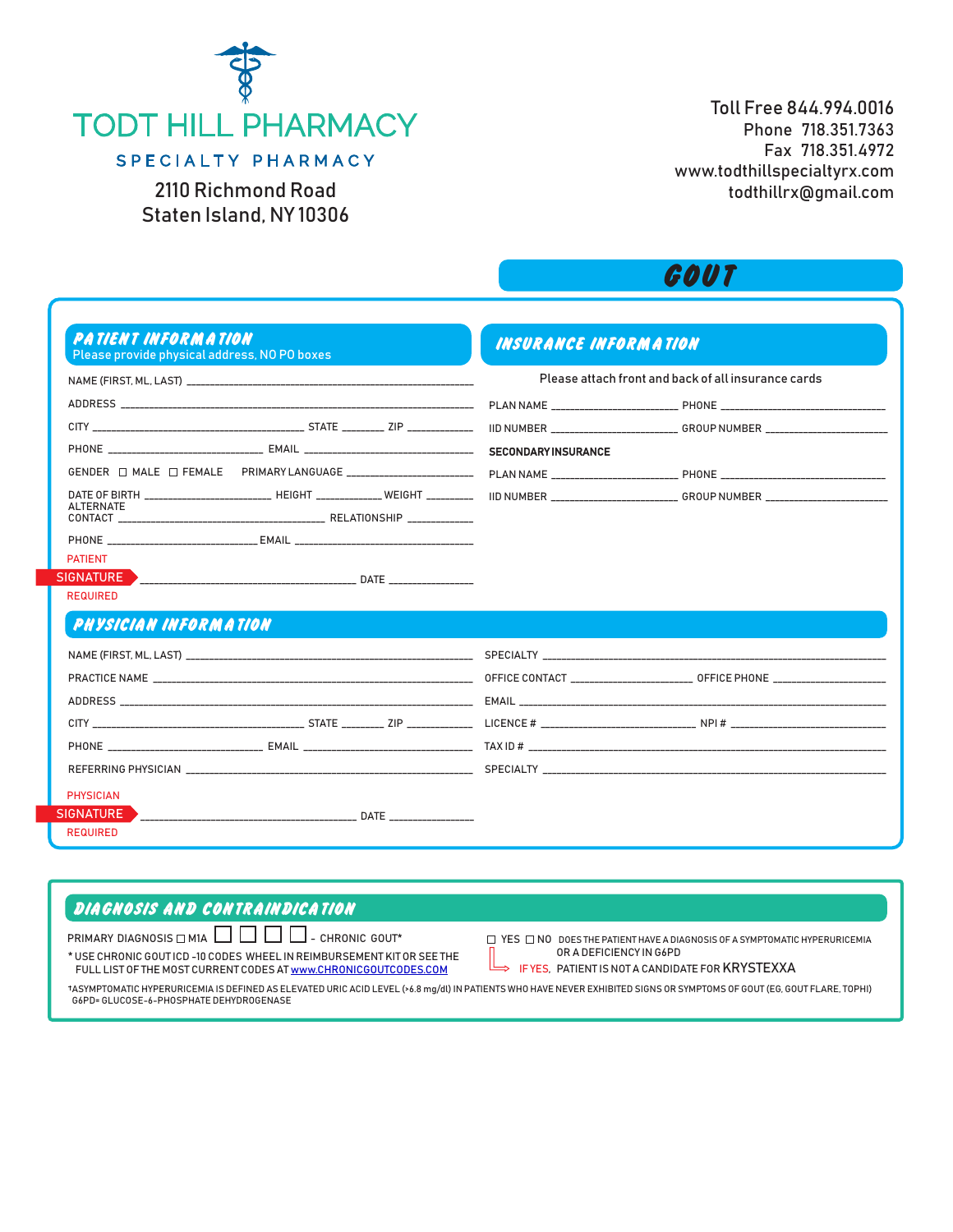

2110 Richmond Road Staten Island, NY 10306

Toll Free 844.994.0016 Phone 718.351.7363 Fax 718.351.4972 www.todthillspecialtyrx.com todthillrx@gmail.com

## **GOUT**

| Please provide physical address, NO PO boxes                                     |  |                            |                                                     |
|----------------------------------------------------------------------------------|--|----------------------------|-----------------------------------------------------|
| NAME (FIRST. ML. LAST)                                                           |  |                            | Please attach front and back of all insurance cards |
|                                                                                  |  |                            |                                                     |
|                                                                                  |  |                            |                                                     |
| PHONE _________________________________ EMAIL __________________________________ |  | <b>SECONDARY INSURANCE</b> |                                                     |
|                                                                                  |  |                            |                                                     |
| <b>ALTERNATE</b>                                                                 |  |                            |                                                     |
|                                                                                  |  |                            |                                                     |
|                                                                                  |  |                            |                                                     |
| <b>PATIENT</b>                                                                   |  |                            |                                                     |
| <b>REQUIRED</b>                                                                  |  |                            |                                                     |
|                                                                                  |  |                            |                                                     |
|                                                                                  |  |                            |                                                     |
|                                                                                  |  |                            |                                                     |
|                                                                                  |  |                            |                                                     |
| <b>PHYSICIAN INFORMATION</b>                                                     |  |                            |                                                     |
|                                                                                  |  |                            |                                                     |
|                                                                                  |  |                            |                                                     |
|                                                                                  |  |                            |                                                     |
|                                                                                  |  |                            |                                                     |
| <b>PHYSICIAN</b>                                                                 |  |                            |                                                     |

## **DIAGNOSIS AND CONTRAINDICATION**

PRIMARY DIAGNOSIS  $\Box$  M1A  $\Box$   $\Box$   $\Box$  - CHRONIC GOUT\*  $\Box$  YES  $\Box$  NO DOES THE PATIENT HAVE A DIAGNOSIS OF A SYMPTOMATIC HYPERURICEMIA \* USE CHRONIC GOUT ICD -10 CODES WHEEL IN REIMBURSEMENT KIT OR SEE THE FULL LIST OF THE MOST CURRENT CODES AT www.CHRONICGOUTCODES.COM

OR A DEFICIENCY IN G6PD

IF YES, PATIENT IS NOT A CANDIDATE FOR KRYSTEXXA

ASYMPTOMATIC HYPERURICEMIA IS DEFINED AS ELEVATED URIC ACID LEVEL (>6.8 mg/dl) IN PATIENTS WHO HAVE NEVER EXHIBITED SIGNS OR SYMPTOMS OF GOUT (EG, GOUT FLARE, TOPHI) G6PD= GLUCOSE-6-PHOSPHATE DEHYDROGENASE

 $\rightarrow$